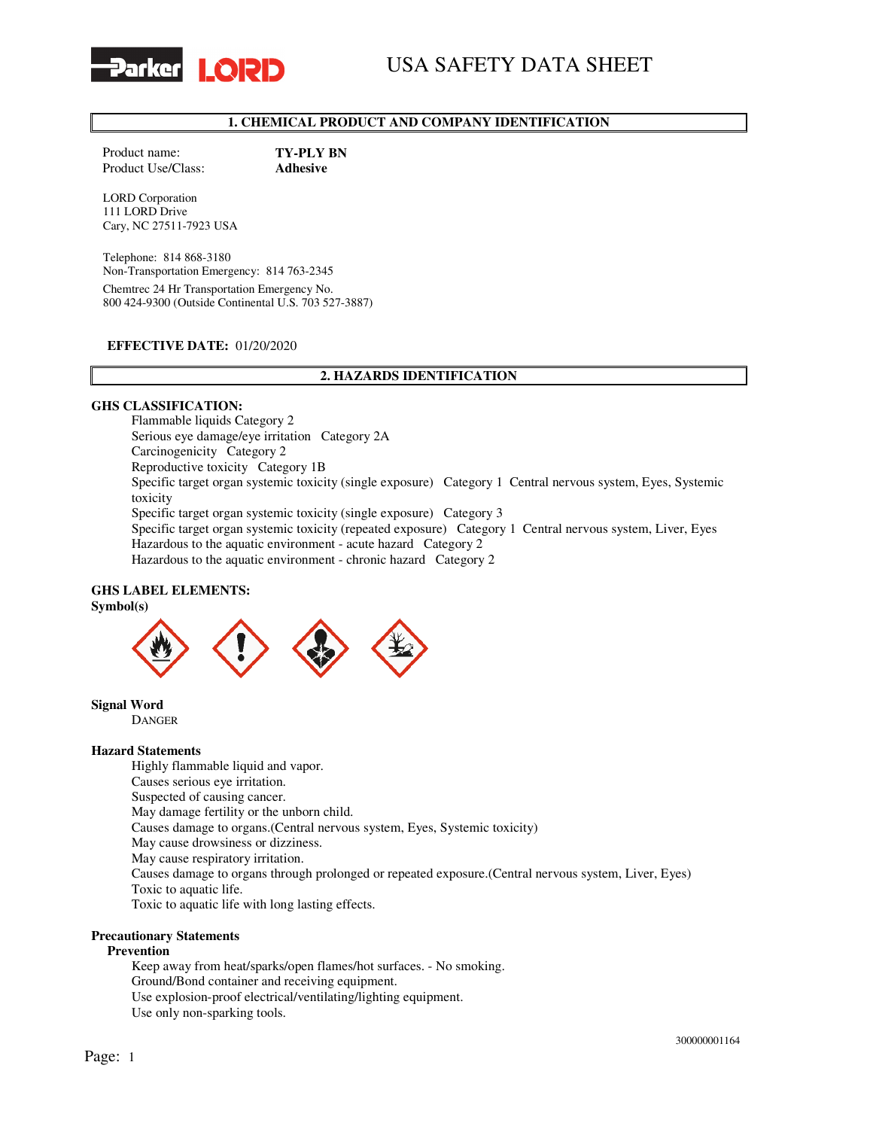

# USA SAFETY DATA SHEET

# 1. CHEMICAL PRODUCT AND COMPANY IDENTIFICATION

Product name: TY-PLY BN Product Use/Class: Adhesive

LORD Corporation 111 LORD Drive Cary, NC 27511-7923 USA

Telephone: 814 868-3180 Non-Transportation Emergency: 814 763-2345 Chemtrec 24 Hr Transportation Emergency No. 800 424-9300 (Outside Continental U.S. 703 527-3887)

### EFFECTIVE DATE: 01/20/2020

### 2. HAZARDS IDENTIFICATION

### GHS CLASSIFICATION:

Flammable liquids Category 2 Serious eye damage/eye irritation Category 2A Carcinogenicity Category 2 Reproductive toxicity Category 1B Specific target organ systemic toxicity (single exposure) Category 1 Central nervous system, Eyes, Systemic toxicity Specific target organ systemic toxicity (single exposure) Category 3 Specific target organ systemic toxicity (repeated exposure) Category 1 Central nervous system, Liver, Eyes Hazardous to the aquatic environment - acute hazard Category 2 Hazardous to the aquatic environment - chronic hazard Category 2

#### GHS LABEL ELEMENTS: Symbol(s)



Signal Word

DANGER

#### Hazard Statements

Highly flammable liquid and vapor. Causes serious eye irritation. Suspected of causing cancer. May damage fertility or the unborn child. Causes damage to organs.(Central nervous system, Eyes, Systemic toxicity) May cause drowsiness or dizziness. May cause respiratory irritation. Causes damage to organs through prolonged or repeated exposure.(Central nervous system, Liver, Eyes) Toxic to aquatic life. Toxic to aquatic life with long lasting effects.

#### Precautionary Statements

#### Prevention

Keep away from heat/sparks/open flames/hot surfaces. - No smoking. Ground/Bond container and receiving equipment. Use explosion-proof electrical/ventilating/lighting equipment. Use only non-sparking tools.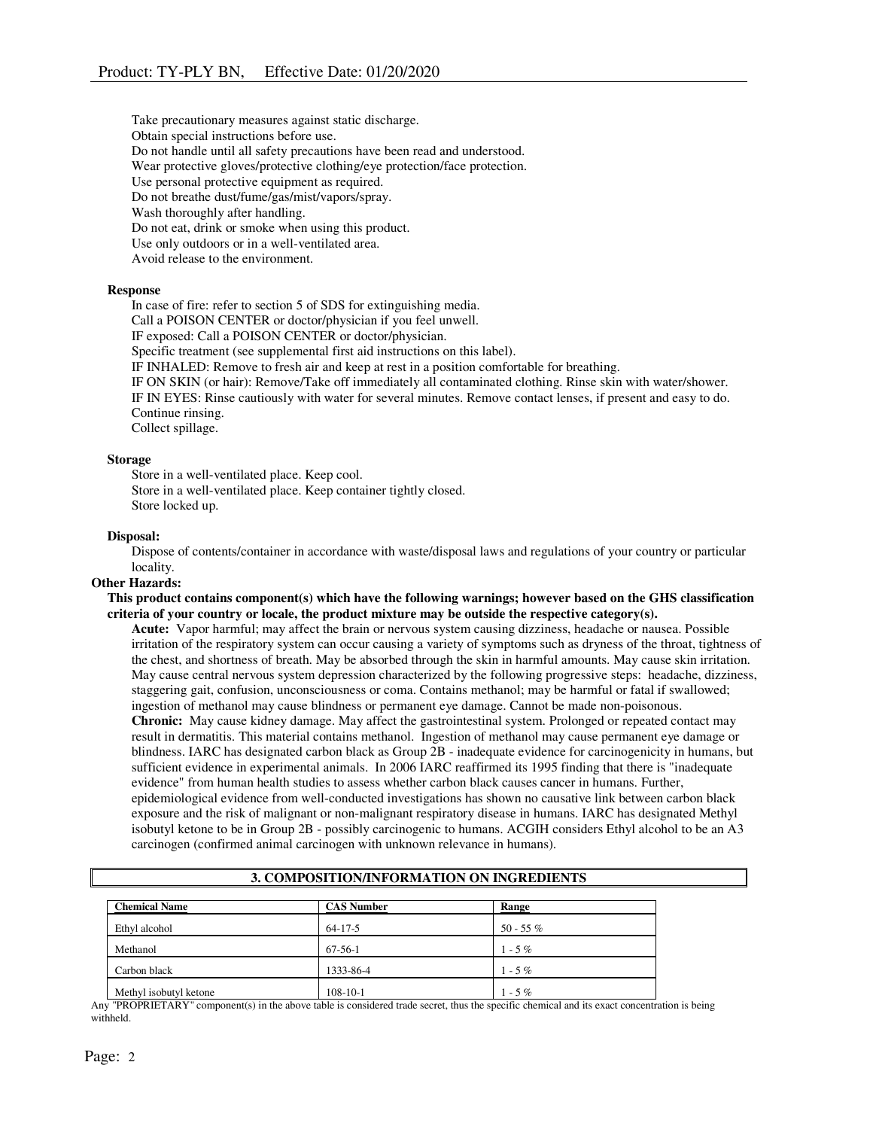Take precautionary measures against static discharge. Obtain special instructions before use. Do not handle until all safety precautions have been read and understood. Wear protective gloves/protective clothing/eye protection/face protection. Use personal protective equipment as required. Do not breathe dust/fume/gas/mist/vapors/spray. Wash thoroughly after handling. Do not eat, drink or smoke when using this product. Use only outdoors or in a well-ventilated area. Avoid release to the environment.

### Response

In case of fire: refer to section 5 of SDS for extinguishing media.

Call a POISON CENTER or doctor/physician if you feel unwell.

IF exposed: Call a POISON CENTER or doctor/physician.

Specific treatment (see supplemental first aid instructions on this label).

IF INHALED: Remove to fresh air and keep at rest in a position comfortable for breathing.

IF ON SKIN (or hair): Remove/Take off immediately all contaminated clothing. Rinse skin with water/shower. IF IN EYES: Rinse cautiously with water for several minutes. Remove contact lenses, if present and easy to do. Continue rinsing.

Collect spillage.

#### Storage

Store in a well-ventilated place. Keep cool. Store in a well-ventilated place. Keep container tightly closed. Store locked up.

#### Disposal:

Dispose of contents/container in accordance with waste/disposal laws and regulations of your country or particular locality.

#### Other Hazards:

This product contains component(s) which have the following warnings; however based on the GHS classification criteria of your country or locale, the product mixture may be outside the respective category(s).

Acute: Vapor harmful; may affect the brain or nervous system causing dizziness, headache or nausea. Possible irritation of the respiratory system can occur causing a variety of symptoms such as dryness of the throat, tightness of the chest, and shortness of breath. May be absorbed through the skin in harmful amounts. May cause skin irritation. May cause central nervous system depression characterized by the following progressive steps: headache, dizziness, staggering gait, confusion, unconsciousness or coma. Contains methanol; may be harmful or fatal if swallowed; ingestion of methanol may cause blindness or permanent eye damage. Cannot be made non-poisonous. Chronic: May cause kidney damage. May affect the gastrointestinal system. Prolonged or repeated contact may result in dermatitis. This material contains methanol. Ingestion of methanol may cause permanent eye damage or blindness. IARC has designated carbon black as Group 2B - inadequate evidence for carcinogenicity in humans, but sufficient evidence in experimental animals. In 2006 IARC reaffirmed its 1995 finding that there is "inadequate evidence" from human health studies to assess whether carbon black causes cancer in humans. Further, epidemiological evidence from well-conducted investigations has shown no causative link between carbon black exposure and the risk of malignant or non-malignant respiratory disease in humans. IARC has designated Methyl isobutyl ketone to be in Group 2B - possibly carcinogenic to humans. ACGIH considers Ethyl alcohol to be an A3 carcinogen (confirmed animal carcinogen with unknown relevance in humans).

| <b>Chemical Name</b>   | <b>CAS Number</b> | Range     |  |
|------------------------|-------------------|-----------|--|
| Ethyl alcohol          | $64 - 17 - 5$     | 50 - 55 % |  |
| Methanol               | 67-56-1           | $1 - 5\%$ |  |
| Carbon black           | 1333-86-4         | $1 - 5\%$ |  |
| Methyl isobutyl ketone | $108 - 10 - 1$    | $1 - 5\%$ |  |

# 3. COMPOSITION/INFORMATION ON INGREDIENTS

Any "PROPRIETARY" component(s) in the above table is considered trade secret, thus the specific chemical and its exact concentration is being withheld.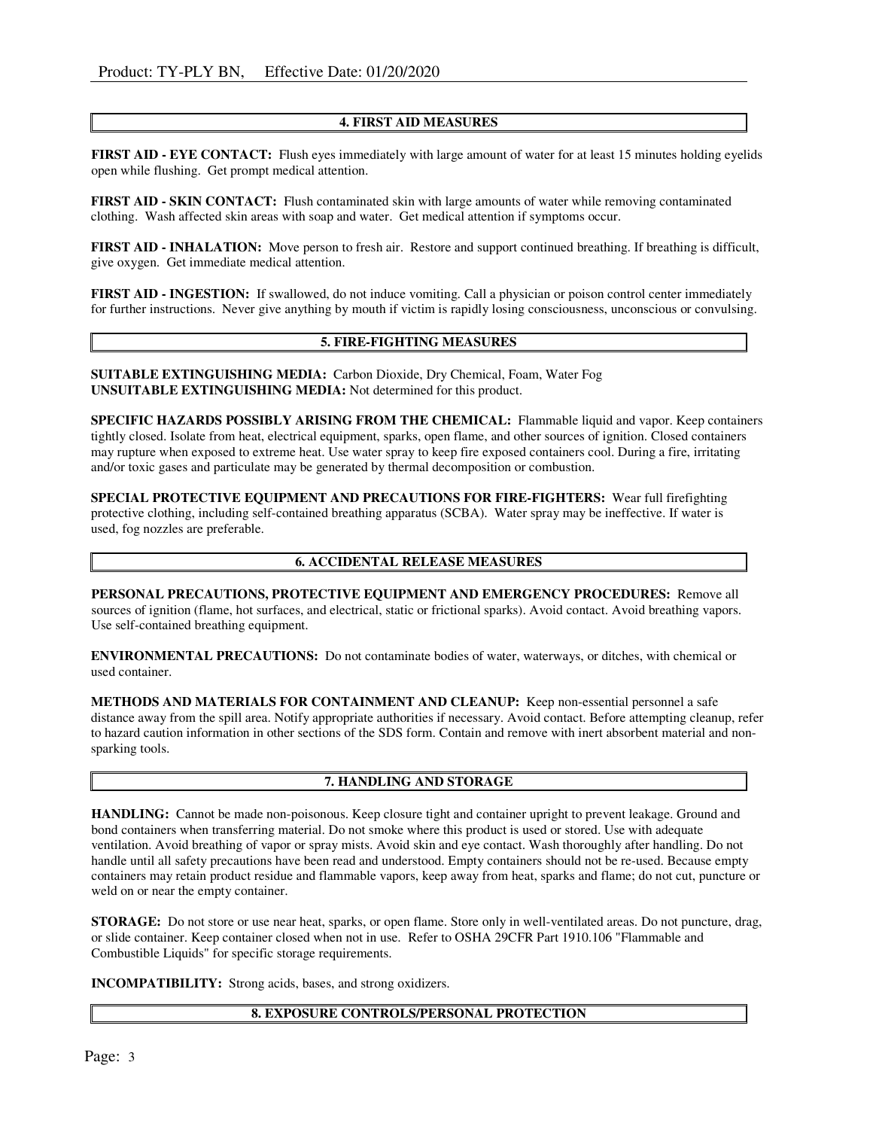# 4. FIRST AID MEASURES

FIRST AID - EYE CONTACT: Flush eyes immediately with large amount of water for at least 15 minutes holding eyelids open while flushing. Get prompt medical attention.

FIRST AID - SKIN CONTACT: Flush contaminated skin with large amounts of water while removing contaminated clothing. Wash affected skin areas with soap and water. Get medical attention if symptoms occur.

FIRST AID - INHALATION: Move person to fresh air. Restore and support continued breathing. If breathing is difficult, give oxygen. Get immediate medical attention.

FIRST AID - INGESTION: If swallowed, do not induce vomiting. Call a physician or poison control center immediately for further instructions. Never give anything by mouth if victim is rapidly losing consciousness, unconscious or convulsing.

### 5. FIRE-FIGHTING MEASURES

SUITABLE EXTINGUISHING MEDIA: Carbon Dioxide, Dry Chemical, Foam, Water Fog UNSUITABLE EXTINGUISHING MEDIA: Not determined for this product.

SPECIFIC HAZARDS POSSIBLY ARISING FROM THE CHEMICAL: Flammable liquid and vapor. Keep containers tightly closed. Isolate from heat, electrical equipment, sparks, open flame, and other sources of ignition. Closed containers may rupture when exposed to extreme heat. Use water spray to keep fire exposed containers cool. During a fire, irritating and/or toxic gases and particulate may be generated by thermal decomposition or combustion.

SPECIAL PROTECTIVE EQUIPMENT AND PRECAUTIONS FOR FIRE-FIGHTERS: Wear full firefighting protective clothing, including self-contained breathing apparatus (SCBA). Water spray may be ineffective. If water is used, fog nozzles are preferable.

### 6. ACCIDENTAL RELEASE MEASURES

PERSONAL PRECAUTIONS, PROTECTIVE EQUIPMENT AND EMERGENCY PROCEDURES: Remove all sources of ignition (flame, hot surfaces, and electrical, static or frictional sparks). Avoid contact. Avoid breathing vapors. Use self-contained breathing equipment.

ENVIRONMENTAL PRECAUTIONS: Do not contaminate bodies of water, waterways, or ditches, with chemical or used container.

METHODS AND MATERIALS FOR CONTAINMENT AND CLEANUP: Keep non-essential personnel a safe distance away from the spill area. Notify appropriate authorities if necessary. Avoid contact. Before attempting cleanup, refer to hazard caution information in other sections of the SDS form. Contain and remove with inert absorbent material and nonsparking tools.

### 7. HANDLING AND STORAGE

HANDLING: Cannot be made non-poisonous. Keep closure tight and container upright to prevent leakage. Ground and bond containers when transferring material. Do not smoke where this product is used or stored. Use with adequate ventilation. Avoid breathing of vapor or spray mists. Avoid skin and eye contact. Wash thoroughly after handling. Do not handle until all safety precautions have been read and understood. Empty containers should not be re-used. Because empty containers may retain product residue and flammable vapors, keep away from heat, sparks and flame; do not cut, puncture or weld on or near the empty container.

STORAGE: Do not store or use near heat, sparks, or open flame. Store only in well-ventilated areas. Do not puncture, drag, or slide container. Keep container closed when not in use. Refer to OSHA 29CFR Part 1910.106 "Flammable and Combustible Liquids" for specific storage requirements.

INCOMPATIBILITY: Strong acids, bases, and strong oxidizers.

### 8. EXPOSURE CONTROLS/PERSONAL PROTECTION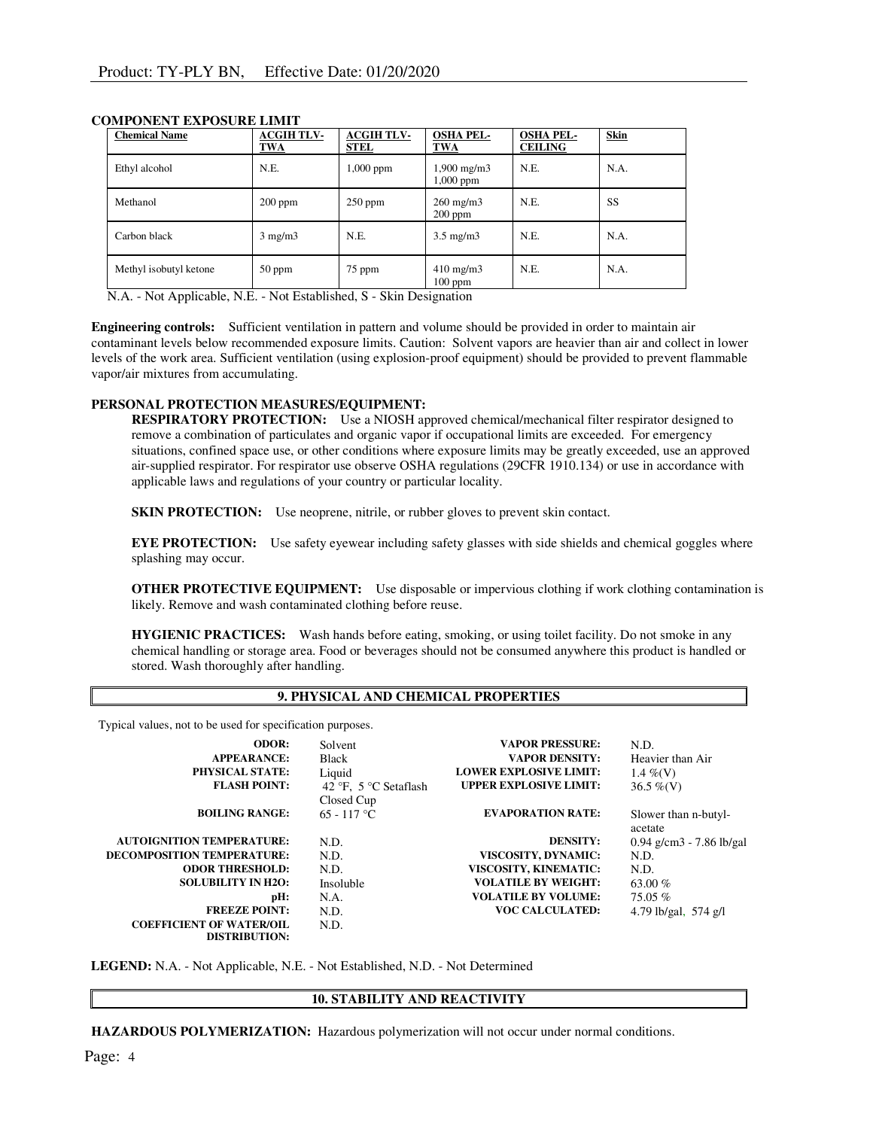| <b>Chemical Name</b>   | <b>ACGIH TLV-</b><br><b>TWA</b> | <b>ACGIH TLV-</b><br><b>STEL</b> | <b>OSHA PEL-</b><br><b>TWA</b>      | <b>OSHA PEL-</b><br><b>CEILING</b> | <b>Skin</b> |
|------------------------|---------------------------------|----------------------------------|-------------------------------------|------------------------------------|-------------|
| Ethyl alcohol          | N.E.                            | 1,000 ppm                        | $1,900 \text{ mg/m}$<br>$1,000$ ppm | N.E.                               | N.A.        |
| Methanol               | $200$ ppm                       | $250$ ppm                        | $260 \text{ mg/m}$<br>$200$ ppm     | N.E.                               | SS          |
| Carbon black           | $3$ mg/m $3$                    | N.E.                             | $3.5 \text{ mg/m}$                  | N.E.                               | N.A.        |
| Methyl isobutyl ketone | $50$ ppm                        | 75 ppm                           | $410 \text{ mg/m}$<br>$100$ ppm     | N.E.                               | N.A.        |

### COMPONENT EXPOSURE LIMIT

N.A. - Not Applicable, N.E. - Not Established, S - Skin Designation

Engineering controls: Sufficient ventilation in pattern and volume should be provided in order to maintain air contaminant levels below recommended exposure limits. Caution: Solvent vapors are heavier than air and collect in lower levels of the work area. Sufficient ventilation (using explosion-proof equipment) should be provided to prevent flammable vapor/air mixtures from accumulating.

### PERSONAL PROTECTION MEASURES/EQUIPMENT:

RESPIRATORY PROTECTION: Use a NIOSH approved chemical/mechanical filter respirator designed to remove a combination of particulates and organic vapor if occupational limits are exceeded. For emergency situations, confined space use, or other conditions where exposure limits may be greatly exceeded, use an approved air-supplied respirator. For respirator use observe OSHA regulations (29CFR 1910.134) or use in accordance with applicable laws and regulations of your country or particular locality.

SKIN PROTECTION: Use neoprene, nitrile, or rubber gloves to prevent skin contact.

EYE PROTECTION: Use safety eyewear including safety glasses with side shields and chemical goggles where splashing may occur.

OTHER PROTECTIVE EQUIPMENT: Use disposable or impervious clothing if work clothing contamination is likely. Remove and wash contaminated clothing before reuse.

HYGIENIC PRACTICES: Wash hands before eating, smoking, or using toilet facility. Do not smoke in any chemical handling or storage area. Food or beverages should not be consumed anywhere this product is handled or stored. Wash thoroughly after handling.

# 9. PHYSICAL AND CHEMICAL PROPERTIES

Typical values, not to be used for specification purposes.

| ODOR:                             | Solvent               | <b>VAPOR PRESSURE:</b>        | N.D.                       |
|-----------------------------------|-----------------------|-------------------------------|----------------------------|
| <b>APPEARANCE:</b>                | <b>Black</b>          | <b>VAPOR DENSITY:</b>         | Heavier than Air           |
| <b>PHYSICAL STATE:</b>            | Liquid                | <b>LOWER EXPLOSIVE LIMIT:</b> | 1.4 %(V)                   |
| <b>FLASH POINT:</b>               | 42 °F. 5 °C Setaflash | <b>UPPER EXPLOSIVE LIMIT:</b> | $36.5\%$ (V)               |
|                                   | Closed Cup            |                               |                            |
| <b>BOILING RANGE:</b>             | $65 - 117$ °C         | <b>EVAPORATION RATE:</b>      | Slower than n-butyl-       |
|                                   |                       |                               | acetate                    |
| <b>AUTOIGNITION TEMPERATURE:</b>  | N.D.                  | <b>DENSITY:</b>               | $0.94$ g/cm3 - 7.86 lb/gal |
| <b>DECOMPOSITION TEMPERATURE:</b> | N.D.                  | VISCOSITY, DYNAMIC:           | N.D.                       |
| <b>ODOR THRESHOLD:</b>            | N.D.                  | VISCOSITY, KINEMATIC:         | N.D.                       |
| <b>SOLUBILITY IN H2O:</b>         | Insoluble             | <b>VOLATILE BY WEIGHT:</b>    | 63.00 $%$                  |
| pH:                               | N.A.                  | <b>VOLATILE BY VOLUME:</b>    | $75.05\%$                  |
| <b>FREEZE POINT:</b>              | N.D.                  | <b>VOC CALCULATED:</b>        | 4.79 lb/gal, 574 g/l       |
| <b>COEFFICIENT OF WATER/OIL</b>   | N.D.                  |                               |                            |
| <b>DISTRIBUTION:</b>              |                       |                               |                            |

LEGEND: N.A. - Not Applicable, N.E. - Not Established, N.D. - Not Determined

# 10. STABILITY AND REACTIVITY

HAZARDOUS POLYMERIZATION: Hazardous polymerization will not occur under normal conditions.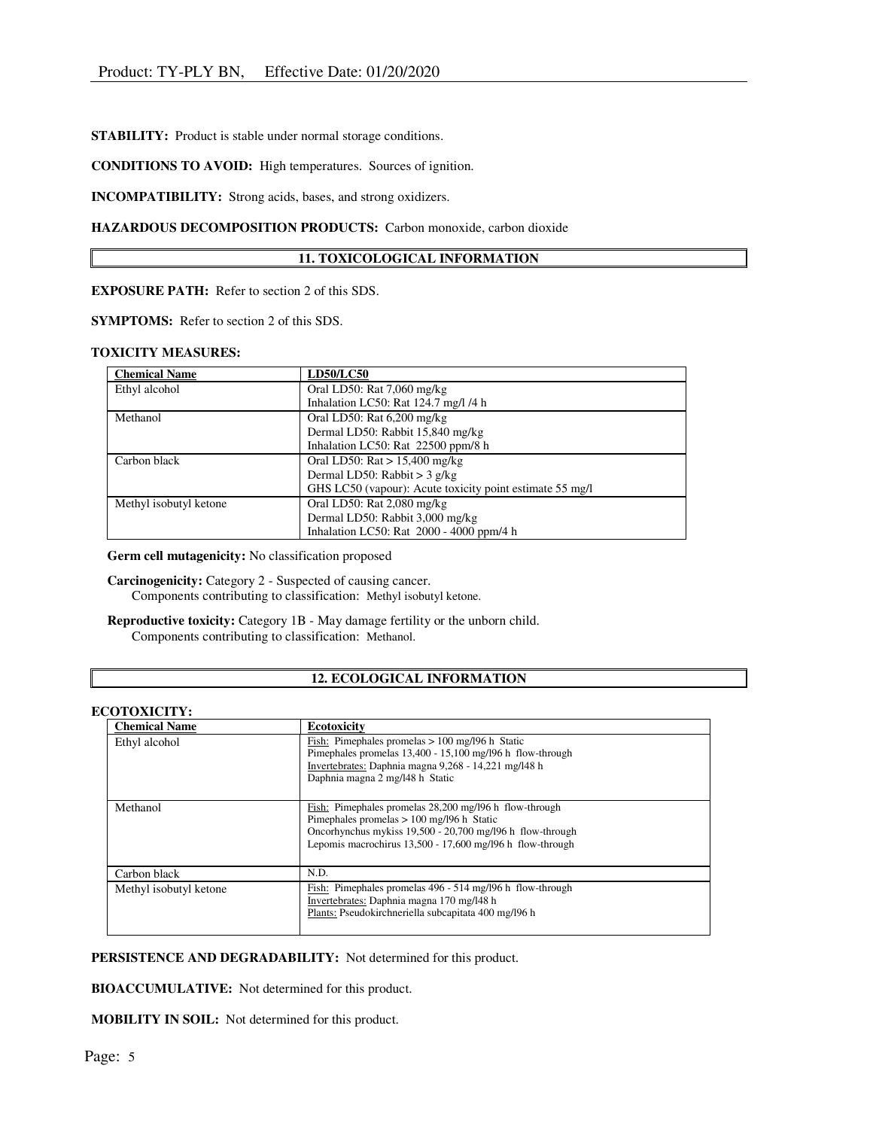STABILITY: Product is stable under normal storage conditions.

CONDITIONS TO AVOID: High temperatures. Sources of ignition.

INCOMPATIBILITY: Strong acids, bases, and strong oxidizers.

# HAZARDOUS DECOMPOSITION PRODUCTS: Carbon monoxide, carbon dioxide

# 11. TOXICOLOGICAL INFORMATION

EXPOSURE PATH: Refer to section 2 of this SDS.

SYMPTOMS: Refer to section 2 of this SDS.

### TOXICITY MEASURES:

| <b>Chemical Name</b>   | <b>LD50/LC50</b>                                         |  |
|------------------------|----------------------------------------------------------|--|
| Ethyl alcohol          | Oral LD50: Rat 7,060 mg/kg                               |  |
|                        | Inhalation LC50: Rat 124.7 mg/l /4 h                     |  |
| Methanol               | Oral LD50: Rat 6,200 mg/kg                               |  |
|                        | Dermal LD50: Rabbit 15,840 mg/kg                         |  |
|                        | Inhalation LC50: Rat 22500 ppm/8 h                       |  |
| Carbon black           | Oral LD50: $\text{Rat} > 15,400 \text{ mg/kg}$           |  |
|                        | Dermal LD50: Rabbit > $3$ g/kg                           |  |
|                        | GHS LC50 (vapour): Acute toxicity point estimate 55 mg/l |  |
| Methyl isobutyl ketone | Oral LD50: Rat $2,080$ mg/kg                             |  |
|                        | Dermal LD50: Rabbit 3,000 mg/kg                          |  |
|                        | Inhalation LC50: Rat 2000 - 4000 ppm/4 h                 |  |

Germ cell mutagenicity: No classification proposed

Carcinogenicity: Category 2 - Suspected of causing cancer. Components contributing to classification: Methyl isobutyl ketone.

Reproductive toxicity: Category 1B - May damage fertility or the unborn child. Components contributing to classification: Methanol.

# 12. ECOLOGICAL INFORMATION

#### ECOTOXICITY:

| <b>Chemical Name</b>   | <b>Ecotoxicity</b>                                                                                                                                                                                                              |
|------------------------|---------------------------------------------------------------------------------------------------------------------------------------------------------------------------------------------------------------------------------|
| Ethyl alcohol          | Fish: Pimephales promelas $> 100$ mg/196 h Static<br>Pimephales promelas 13,400 - 15,100 mg/l96 h flow-through<br>Invertebrates: Daphnia magna 9,268 - 14,221 mg/l48 h<br>Daphnia magna 2 mg/148 h Static                       |
| Methanol               | Fish: Pimephales promelas 28,200 mg/l96 h flow-through<br>Pimephales promelas $> 100$ mg/l96 h Static<br>Oncorhynchus mykiss 19,500 - 20,700 mg/l96 h flow-through<br>Lepomis macrochirus 13,500 - 17,600 mg/l96 h flow-through |
| Carbon black           | N.D.                                                                                                                                                                                                                            |
| Methyl isobutyl ketone | Fish: Pimephales promelas 496 - 514 mg/l96 h flow-through<br>Invertebrates: Daphnia magna 170 mg/l48 h<br>Plants: Pseudokirchneriella subcapitata 400 mg/l96 h                                                                  |

PERSISTENCE AND DEGRADABILITY: Not determined for this product.

BIOACCUMULATIVE: Not determined for this product.

MOBILITY IN SOIL: Not determined for this product.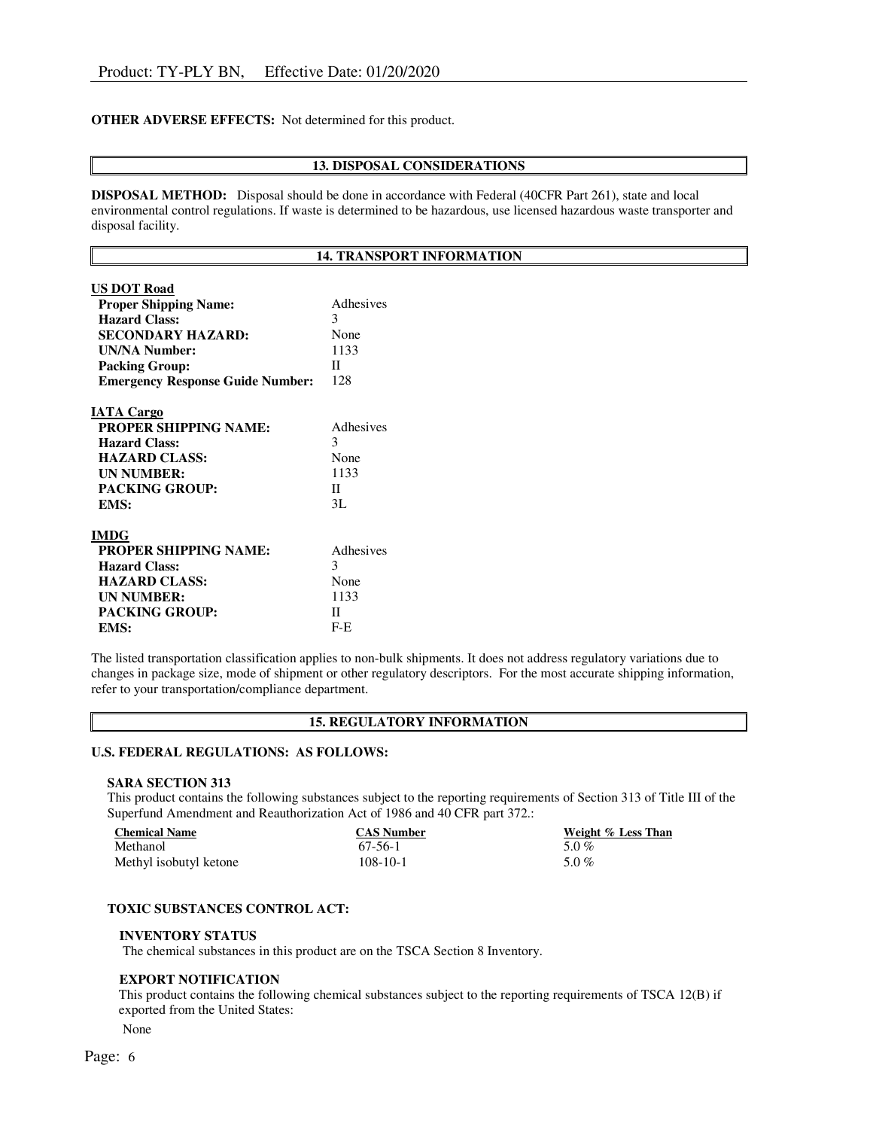### OTHER ADVERSE EFFECTS: Not determined for this product.

### 13. DISPOSAL CONSIDERATIONS

DISPOSAL METHOD: Disposal should be done in accordance with Federal (40CFR Part 261), state and local environmental control regulations. If waste is determined to be hazardous, use licensed hazardous waste transporter and disposal facility.

#### 14. TRANSPORT INFORMATION

| Adhesives    |
|--------------|
| 3            |
| None         |
| 1133         |
| Π            |
| 128          |
|              |
| Adhesives    |
| 3            |
| None         |
| 1133         |
| $\mathbf{H}$ |
| 3L           |
|              |
| Adhesives    |
| 3            |
| None         |
| 1133         |
| П            |
| $F-E$        |
|              |

The listed transportation classification applies to non-bulk shipments. It does not address regulatory variations due to changes in package size, mode of shipment or other regulatory descriptors. For the most accurate shipping information, refer to your transportation/compliance department.

### 15. REGULATORY INFORMATION

# U.S. FEDERAL REGULATIONS: AS FOLLOWS:

#### SARA SECTION 313

This product contains the following substances subject to the reporting requirements of Section 313 of Title III of the Superfund Amendment and Reauthorization Act of 1986 and 40 CFR part 372.:

| <b>Chemical Name</b>   | <b>CAS Number</b> | Weight % Less Than |
|------------------------|-------------------|--------------------|
| Methanol               | 67-56-1           | 5.0 %              |
| Methyl isobutyl ketone | $108 - 10 - 1$    | 5.0%               |

### TOXIC SUBSTANCES CONTROL ACT:

#### INVENTORY STATUS

The chemical substances in this product are on the TSCA Section 8 Inventory.

### EXPORT NOTIFICATION

This product contains the following chemical substances subject to the reporting requirements of TSCA 12(B) if exported from the United States:

None